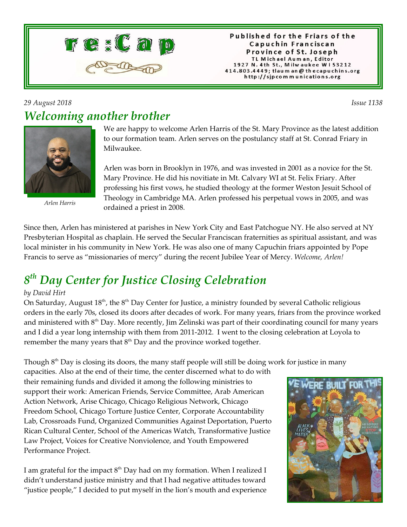

Published for the Friars of the Capuchin Franciscan Province of St. Joseph TL Michael Auman, Editor 1927 N. 4th St., Milwaukee W153212 414.803.4449; tlaum an @ thecapuchins.org http://sjpcommunications.org

#### *29 August 2018 Issue 1138 Welcoming another brother*



*Arlen Harris*

We are happy to welcome Arlen Harris of the St. Mary Province as the latest addition to our formation team. Arlen serves on the postulancy staff at St. Conrad Friary in Milwaukee.

Arlen was born in Brooklyn in 1976, and was invested in 2001 as a novice for the St. Mary Province. He did his novitiate in Mt. Calvary WI at St. Felix Friary. After professing his first vows, he studied theology at the former Weston Jesuit School of Theology in Cambridge MA. Arlen professed his perpetual vows in 2005, and was ordained a priest in 2008.

Since then, Arlen has ministered at parishes in New York City and East Patchogue NY. He also served at NY Presbyterian Hospital as chaplain. He served the Secular Franciscan fraternities as spiritual assistant, and was local minister in his community in New York. He was also one of many Capuchin friars appointed by Pope Francis to serve as "missionaries of mercy" during the recent Jubilee Year of Mercy. *Welcome, Arlen!*

# *8 th Day Center for Justice Closing Celebration*

#### *by David Hirt*

On Saturday, August  $18<sup>th</sup>$ , the  $8<sup>th</sup>$  Day Center for Justice, a ministry founded by several Catholic religious orders in the early 70s, closed its doors after decades of work. For many years, friars from the province worked and ministered with 8<sup>th</sup> Day. More recently, Jim Zelinski was part of their coordinating council for many years and I did a year long internship with them from 2011-2012. I went to the closing celebration at Loyola to remember the many years that  $8<sup>th</sup>$  Day and the province worked together.

Though  $8<sup>th</sup>$  Day is closing its doors, the many staff people will still be doing work for justice in many

capacities. Also at the end of their time, the center discerned what to do with their remaining funds and divided it among the following ministries to support their work: American Friends, Service Committee, Arab American Action Network, Arise Chicago, Chicago Religious Network, Chicago Freedom School, Chicago Torture Justice Center, Corporate Accountability Lab, Crossroads Fund, Organized Communities Against Deportation, Puerto Rican Cultural Center, School of the Americas Watch, Transformative Justice Law Project, Voices for Creative Nonviolence, and Youth Empowered Performance Project.

I am grateful for the impact  $8<sup>th</sup>$  Day had on my formation. When I realized I didn't understand justice ministry and that I had negative attitudes toward "justice people," I decided to put myself in the lion's mouth and experience

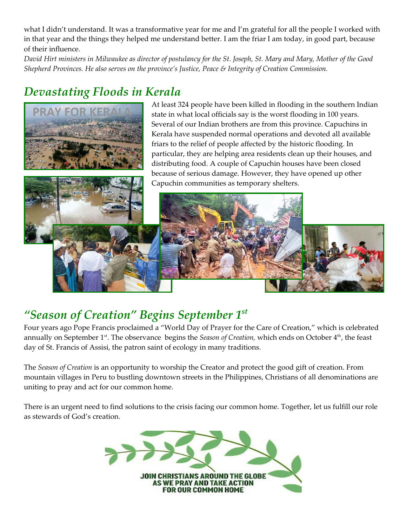what I didn't understand. It was a transformative year for me and I'm grateful for all the people I worked with in that year and the things they helped me understand better. I am the friar I am today, in good part, because of their influence.

*David Hirt ministers in Milwaukee as director of postulancy for the St. Joseph, St. Mary and Mary, Mother of the Good Shepherd Provinces. He also serves on the province's Justice, Peace & Integrity of Creation Commission.*

## *Devastating Floods in Kerala*



At least 324 people have been killed in flooding in the southern Indian state in what local officials say is the worst flooding in 100 years. Several of our Indian brothers are from this province. Capuchins in Kerala have suspended normal operations and devoted all available friars to the relief of people affected by the historic flooding. In particular, they are helping area residents clean up their houses, and distributing food. A couple of Capuchin houses have been closed because of serious damage. However, they have opened up other Capuchin communities as temporary shelters.



## *"Season of Creation" Begins September 1st*

Four years ago Pope Francis proclaimed a "World Day of Prayer for the Care of Creation," which is celebrated annually on September 1<sup>st</sup>. The observance begins the *Season of Creation*, which ends on October 4<sup>th</sup>, the feast day of St. Francis of Assisi, the patron saint of ecology in many traditions.

The *Season of Creation* is an opportunity to worship the Creator and protect the good gift of creation. From mountain villages in Peru to bustling downtown streets in the Philippines, Christians of all denominations are uniting to pray and act for our common home.

There is an urgent need to find solutions to the crisis facing our common home. Together, let us fulfill our role as stewards of God's creation.

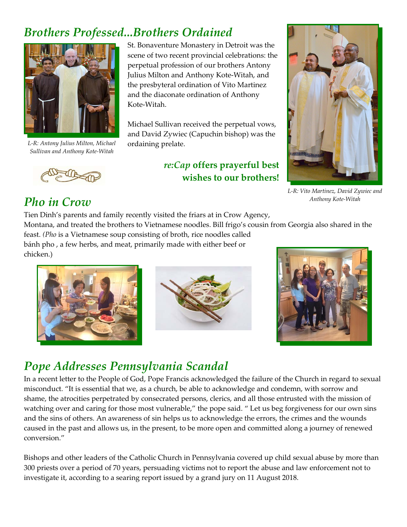#### *Brothers Professed...Brothers Ordained*



*L-R: Antony Julius Milton, Michael Sullivan and Anthony Kote-Witah*

St. Bonaventure Monastery in Detroit was the scene of two recent provincial celebrations: the perpetual profession of our brothers Antony Julius Milton and Anthony Kote-Witah, and the presbyteral ordination of Vito Martinez and the diaconate ordination of Anthony Kote-Witah.

Michael Sullivan received the perpetual vows, and David Zywiec (Capuchin bishop) was the ordaining prelate.

> *re:Cap* **offers prayerful best wishes to our brothers!**



*L-R: Vito Martinez, David Zywiec and Anthony Kote-Witah*

#### *Pho in Crow*

Tien Dinh's parents and family recently visited the friars at in Crow Agency, Montana, and treated the brothers to Vietnamese noodles. Bill frigo's cousin from Georgia also shared in the feast. *(Pho* is a Vietnamese soup consisting of broth, rice noodles called bánh pho , a few herbs, and meat, primarily made with either beef or chicken.)





## *Pope Addresses Pennsylvania Scandal*

In a recent letter to the People of God, Pope Francis acknowledged the failure of the Church in regard to sexual misconduct. "It is essential that we, as a church, be able to acknowledge and condemn, with sorrow and shame, the atrocities perpetrated by consecrated persons, clerics, and all those entrusted with the mission of watching over and caring for those most vulnerable," the pope said. " Let us beg forgiveness for our own sins and the sins of others. An awareness of sin helps us to acknowledge the errors, the crimes and the wounds caused in the past and allows us, in the present, to be more open and committed along a journey of renewed conversion."

Bishops and other leaders of the Catholic Church in Pennsylvania covered up child sexual abuse by more than 300 priests over a period of 70 years, persuading victims not to report the abuse and law enforcement not to investigate it, according to a searing report issued by a grand jury on 11 August 2018.